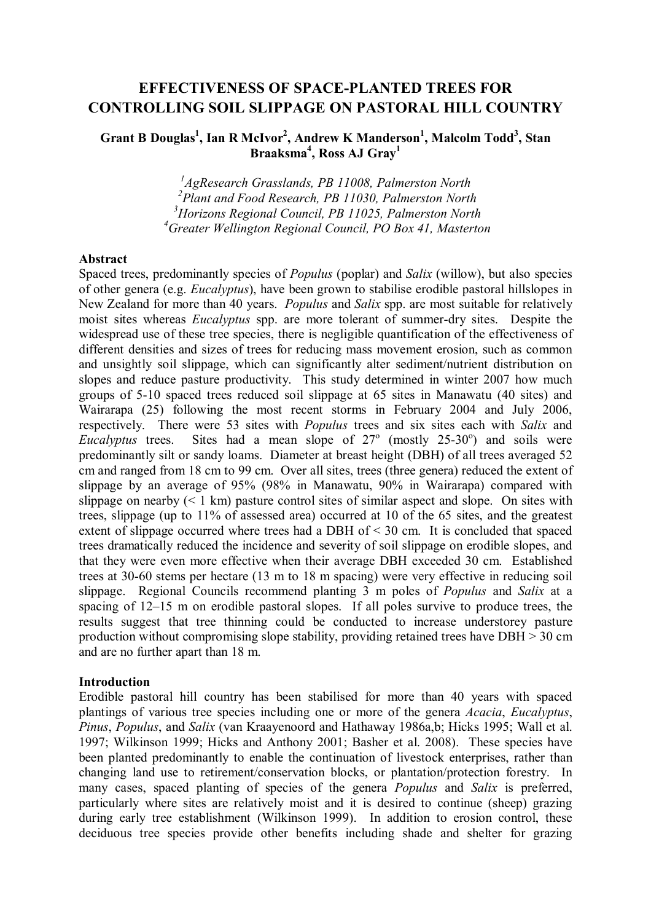# EFFECTIVENESS OF SPACE-PLANTED TREES FOR CONTROLLING SOIL SLIPPAGE ON PASTORAL HILL COUNTRY

# Grant B Douglas<sup>1</sup>, Ian R McIvor<sup>2</sup>, Andrew K Manderson<sup>1</sup>, Malcolm Todd<sup>3</sup>, Stan Braaksma<sup>4</sup>, Ross AJ Gray<sup>1</sup>

<sup>1</sup>AgResearch Grasslands, PB 11008, Palmerston North <sup>2</sup> Plant and Food Research, PB 11030, Palmerston North  $3$ Horizons Regional Council, PB 11025, Palmerston North  ${}^{4}$ Greater Wellington Regional Council, PO Box 41, Masterton

### Abstract

Spaced trees, predominantly species of Populus (poplar) and Salix (willow), but also species of other genera (e.g. Eucalyptus), have been grown to stabilise erodible pastoral hillslopes in New Zealand for more than 40 years. *Populus* and *Salix* spp. are most suitable for relatively moist sites whereas *Eucalyptus* spp. are more tolerant of summer-dry sites. Despite the widespread use of these tree species, there is negligible quantification of the effectiveness of different densities and sizes of trees for reducing mass movement erosion, such as common and unsightly soil slippage, which can significantly alter sediment/nutrient distribution on slopes and reduce pasture productivity. This study determined in winter 2007 how much groups of 5-10 spaced trees reduced soil slippage at 65 sites in Manawatu (40 sites) and Wairarapa (25) following the most recent storms in February 2004 and July 2006, respectively. There were 53 sites with *Populus* trees and six sites each with Salix and Eucalyptus trees. Sites had a mean slope of  $27^\circ$  (mostly  $25-30^\circ$ ) and soils were predominantly silt or sandy loams. Diameter at breast height (DBH) of all trees averaged 52 cm and ranged from 18 cm to 99 cm. Over all sites, trees (three genera) reduced the extent of slippage by an average of 95% (98% in Manawatu, 90% in Wairarapa) compared with slippage on nearby  $(< 1 \text{ km})$  pasture control sites of similar aspect and slope. On sites with trees, slippage (up to 11% of assessed area) occurred at 10 of the 65 sites, and the greatest extent of slippage occurred where trees had a DBH of < 30 cm. It is concluded that spaced trees dramatically reduced the incidence and severity of soil slippage on erodible slopes, and that they were even more effective when their average DBH exceeded 30 cm. Established trees at 30-60 stems per hectare (13 m to 18 m spacing) were very effective in reducing soil slippage. Regional Councils recommend planting 3 m poles of Populus and Salix at a spacing of 12–15 m on erodible pastoral slopes. If all poles survive to produce trees, the results suggest that tree thinning could be conducted to increase understorey pasture production without compromising slope stability, providing retained trees have DBH > 30 cm and are no further apart than 18 m.

### Introduction

Erodible pastoral hill country has been stabilised for more than 40 years with spaced plantings of various tree species including one or more of the genera Acacia, Eucalyptus, Pinus, Populus, and Salix (van Kraayenoord and Hathaway 1986a,b; Hicks 1995; Wall et al. 1997; Wilkinson 1999; Hicks and Anthony 2001; Basher et al. 2008). These species have been planted predominantly to enable the continuation of livestock enterprises, rather than changing land use to retirement/conservation blocks, or plantation/protection forestry. In many cases, spaced planting of species of the genera *Populus* and *Salix* is preferred, particularly where sites are relatively moist and it is desired to continue (sheep) grazing during early tree establishment (Wilkinson 1999). In addition to erosion control, these deciduous tree species provide other benefits including shade and shelter for grazing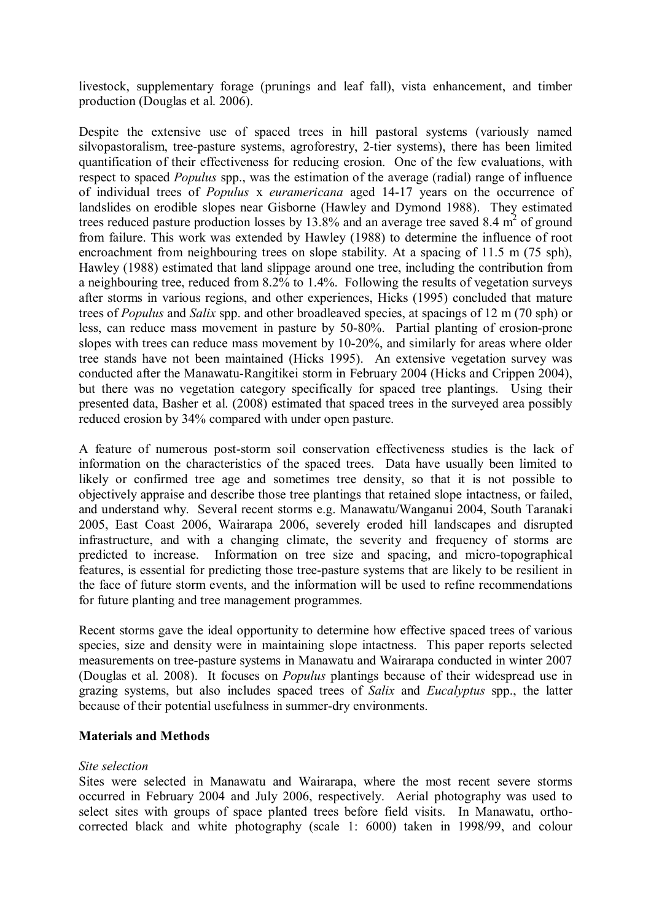livestock, supplementary forage (prunings and leaf fall), vista enhancement, and timber production (Douglas et al. 2006).

Despite the extensive use of spaced trees in hill pastoral systems (variously named silvopastoralism, tree-pasture systems, agroforestry, 2-tier systems), there has been limited quantification of their effectiveness for reducing erosion. One of the few evaluations, with respect to spaced Populus spp., was the estimation of the average (radial) range of influence of individual trees of Populus x euramericana aged 14-17 years on the occurrence of landslides on erodible slopes near Gisborne (Hawley and Dymond 1988). They estimated trees reduced pasture production losses by 13.8% and an average tree saved 8.4  $m<sup>2</sup>$  of ground from failure. This work was extended by Hawley (1988) to determine the influence of root encroachment from neighbouring trees on slope stability. At a spacing of 11.5 m (75 sph), Hawley (1988) estimated that land slippage around one tree, including the contribution from a neighbouring tree, reduced from 8.2% to 1.4%. Following the results of vegetation surveys after storms in various regions, and other experiences, Hicks (1995) concluded that mature trees of Populus and Salix spp. and other broadleaved species, at spacings of 12 m (70 sph) or less, can reduce mass movement in pasture by 50-80%. Partial planting of erosion-prone slopes with trees can reduce mass movement by 10-20%, and similarly for areas where older tree stands have not been maintained (Hicks 1995). An extensive vegetation survey was conducted after the Manawatu-Rangitikei storm in February 2004 (Hicks and Crippen 2004), but there was no vegetation category specifically for spaced tree plantings. Using their presented data, Basher et al. (2008) estimated that spaced trees in the surveyed area possibly reduced erosion by 34% compared with under open pasture.

A feature of numerous post-storm soil conservation effectiveness studies is the lack of information on the characteristics of the spaced trees. Data have usually been limited to likely or confirmed tree age and sometimes tree density, so that it is not possible to objectively appraise and describe those tree plantings that retained slope intactness, or failed, and understand why. Several recent storms e.g. Manawatu/Wanganui 2004, South Taranaki 2005, East Coast 2006, Wairarapa 2006, severely eroded hill landscapes and disrupted infrastructure, and with a changing climate, the severity and frequency of storms are predicted to increase. Information on tree size and spacing, and micro-topographical features, is essential for predicting those tree-pasture systems that are likely to be resilient in the face of future storm events, and the information will be used to refine recommendations for future planting and tree management programmes.

Recent storms gave the ideal opportunity to determine how effective spaced trees of various species, size and density were in maintaining slope intactness. This paper reports selected measurements on tree-pasture systems in Manawatu and Wairarapa conducted in winter 2007 (Douglas et al. 2008). It focuses on Populus plantings because of their widespread use in grazing systems, but also includes spaced trees of Salix and Eucalyptus spp., the latter because of their potential usefulness in summer-dry environments.

### Materials and Methods

### Site selection

Sites were selected in Manawatu and Wairarapa, where the most recent severe storms occurred in February 2004 and July 2006, respectively. Aerial photography was used to select sites with groups of space planted trees before field visits. In Manawatu, orthocorrected black and white photography (scale 1: 6000) taken in 1998/99, and colour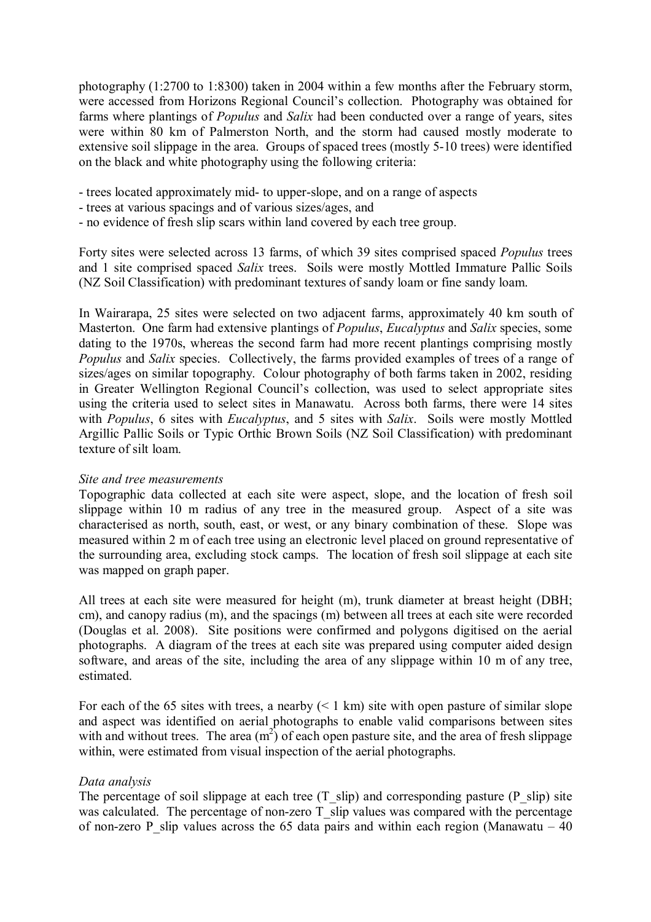photography (1:2700 to 1:8300) taken in 2004 within a few months after the February storm, were accessed from Horizons Regional Council's collection. Photography was obtained for farms where plantings of *Populus* and *Salix* had been conducted over a range of years, sites were within 80 km of Palmerston North, and the storm had caused mostly moderate to extensive soil slippage in the area. Groups of spaced trees (mostly 5-10 trees) were identified on the black and white photography using the following criteria:

- trees located approximately mid- to upper-slope, and on a range of aspects
- trees at various spacings and of various sizes/ages, and
- no evidence of fresh slip scars within land covered by each tree group.

Forty sites were selected across 13 farms, of which 39 sites comprised spaced Populus trees and 1 site comprised spaced Salix trees. Soils were mostly Mottled Immature Pallic Soils (NZ Soil Classification) with predominant textures of sandy loam or fine sandy loam.

In Wairarapa, 25 sites were selected on two adjacent farms, approximately 40 km south of Masterton. One farm had extensive plantings of *Populus, Eucalyptus* and *Salix* species, some dating to the 1970s, whereas the second farm had more recent plantings comprising mostly Populus and Salix species. Collectively, the farms provided examples of trees of a range of sizes/ages on similar topography. Colour photography of both farms taken in 2002, residing in Greater Wellington Regional Council's collection, was used to select appropriate sites using the criteria used to select sites in Manawatu. Across both farms, there were 14 sites with *Populus*, 6 sites with *Eucalyptus*, and 5 sites with *Salix*. Soils were mostly Mottled Argillic Pallic Soils or Typic Orthic Brown Soils (NZ Soil Classification) with predominant texture of silt loam.

### Site and tree measurements

Topographic data collected at each site were aspect, slope, and the location of fresh soil slippage within 10 m radius of any tree in the measured group. Aspect of a site was characterised as north, south, east, or west, or any binary combination of these. Slope was measured within 2 m of each tree using an electronic level placed on ground representative of the surrounding area, excluding stock camps. The location of fresh soil slippage at each site was mapped on graph paper.

All trees at each site were measured for height (m), trunk diameter at breast height (DBH; cm), and canopy radius (m), and the spacings (m) between all trees at each site were recorded (Douglas et al. 2008). Site positions were confirmed and polygons digitised on the aerial photographs. A diagram of the trees at each site was prepared using computer aided design software, and areas of the site, including the area of any slippage within 10 m of any tree, estimated.

For each of the 65 sites with trees, a nearby  $(< 1 \text{ km})$  site with open pasture of similar slope and aspect was identified on aerial photographs to enable valid comparisons between sites with and without trees. The area  $(m<sup>2</sup>)$  of each open pasture site, and the area of fresh slippage within, were estimated from visual inspection of the aerial photographs.

### Data analysis

The percentage of soil slippage at each tree  $(T_s$  slip) and corresponding pasture  $(P_s$  slip) site was calculated. The percentage of non-zero  $\overline{T}$  slip values was compared with the percentage of non-zero P slip values across the 65 data pairs and within each region (Manawatu – 40)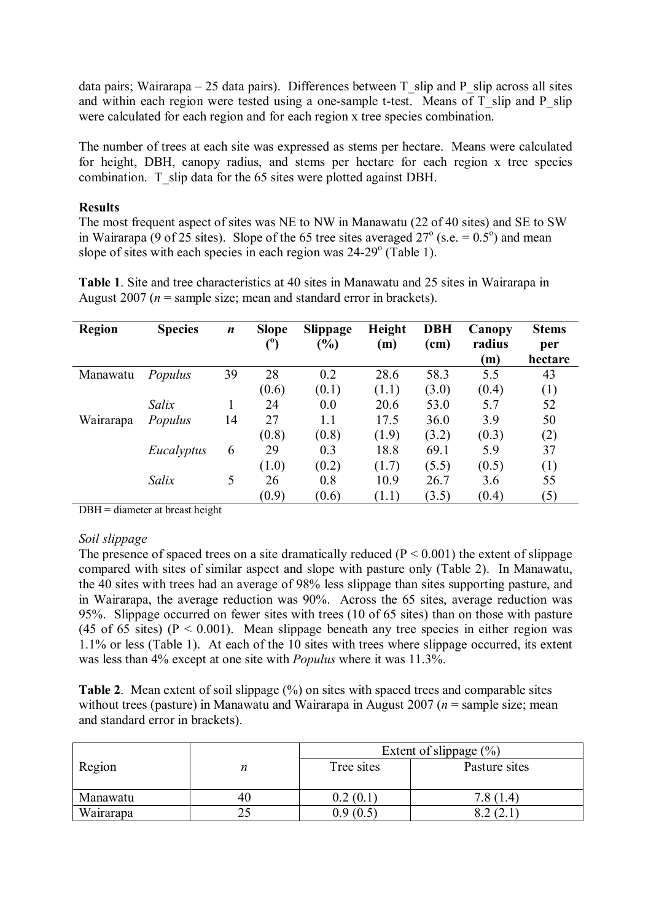data pairs; Wairarapa – 25 data pairs). Differences between  $T$  slip and P slip across all sites and within each region were tested using a one-sample t-test. Means of  $T$  slip and  $P$  slip were calculated for each region and for each region x tree species combination.

The number of trees at each site was expressed as stems per hectare. Means were calculated for height, DBH, canopy radius, and stems per hectare for each region x tree species combination. T\_slip data for the 65 sites were plotted against DBH.

### **Results**

The most frequent aspect of sites was NE to NW in Manawatu (22 of 40 sites) and SE to SW in Wairarapa (9 of 25 sites). Slope of the 65 tree sites averaged  $27^{\circ}$  (s.e. = 0.5°) and mean slope of sites with each species in each region was 24-29° (Table 1).

Table 1. Site and tree characteristics at 40 sites in Manawatu and 25 sites in Wairarapa in August 2007 ( $n =$ sample size; mean and standard error in brackets).

| <b>Region</b> | <b>Species</b> | $\boldsymbol{n}$ | <b>Slope</b> | <b>Slippage</b> | Height | <b>DBH</b> | Canopy | <b>Stems</b> |
|---------------|----------------|------------------|--------------|-----------------|--------|------------|--------|--------------|
|               |                |                  |              | $(\%)$          | (m)    | (cm)       | radius | per          |
|               |                |                  |              |                 |        |            | (m)    | hectare      |
| Manawatu      | Populus        | 39               | 28           | 0.2             | 28.6   | 58.3       | 5.5    | 43           |
|               |                |                  | (0.6)        | (0.1)           | (1.1)  | (3.0)      | (0.4)  | (1)          |
|               | Salix          |                  | 24           | 0.0             | 20.6   | 53.0       | 5.7    | 52           |
| Wairarapa     | Populus        | 14               | 27           | 1.1             | 17.5   | 36.0       | 3.9    | 50           |
|               |                |                  | (0.8)        | (0.8)           | (1.9)  | (3.2)      | (0.3)  | (2)          |
|               | Eucalyptus     | 6                | 29           | 0.3             | 18.8   | 69.1       | 5.9    | 37           |
|               |                |                  | (1.0)        | (0.2)           | (1.7)  | (5.5)      | (0.5)  | (1)          |
|               | Salix          | 5                | 26           | 0.8             | 10.9   | 26.7       | 3.6    | 55           |
|               |                |                  | (0.9)        | (0.6)           | (1.1)  | (3.5)      | (0.4)  | (5)          |

DBH = diameter at breast height

### Soil slippage

The presence of spaced trees on a site dramatically reduced ( $P < 0.001$ ) the extent of slippage compared with sites of similar aspect and slope with pasture only (Table 2). In Manawatu, the 40 sites with trees had an average of 98% less slippage than sites supporting pasture, and in Wairarapa, the average reduction was 90%. Across the 65 sites, average reduction was 95%. Slippage occurred on fewer sites with trees (10 of 65 sites) than on those with pasture (45 of 65 sites) ( $P < 0.001$ ). Mean slippage beneath any tree species in either region was 1.1% or less (Table 1). At each of the 10 sites with trees where slippage occurred, its extent was less than 4% except at one site with Populus where it was 11.3%.

Table 2. Mean extent of soil slippage  $(\%)$  on sites with spaced trees and comparable sites without trees (pasture) in Manawatu and Wairarapa in August 2007 ( $n =$  sample size; mean and standard error in brackets).

|           |    | Extent of slippage $(\% )$ |               |  |  |  |
|-----------|----|----------------------------|---------------|--|--|--|
| Region    |    | Tree sites                 | Pasture sites |  |  |  |
| Manawatu  | 40 | 0.2(0.1)                   | 7.8(1.4)      |  |  |  |
| Wairarapa |    | .9(0.5)                    |               |  |  |  |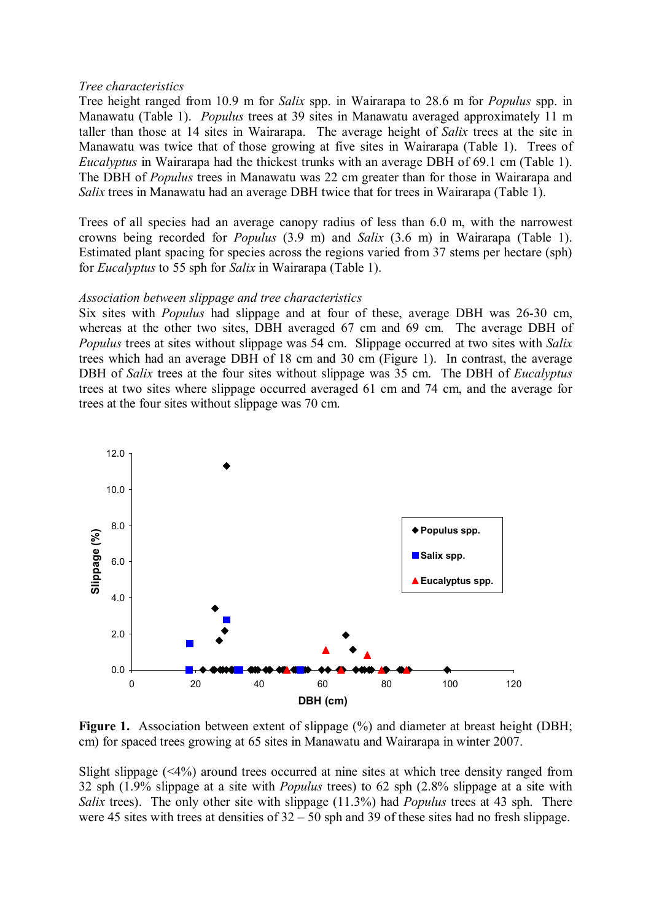#### Tree characteristics

Tree height ranged from 10.9 m for Salix spp. in Wairarapa to 28.6 m for Populus spp. in Manawatu (Table 1). Populus trees at 39 sites in Manawatu averaged approximately 11 m taller than those at 14 sites in Wairarapa. The average height of Salix trees at the site in Manawatu was twice that of those growing at five sites in Wairarapa (Table 1). Trees of Eucalyptus in Wairarapa had the thickest trunks with an average DBH of 69.1 cm (Table 1). The DBH of Populus trees in Manawatu was 22 cm greater than for those in Wairarapa and Salix trees in Manawatu had an average DBH twice that for trees in Wairarapa (Table 1).

Trees of all species had an average canopy radius of less than 6.0 m, with the narrowest crowns being recorded for Populus (3.9 m) and Salix (3.6 m) in Wairarapa (Table 1). Estimated plant spacing for species across the regions varied from 37 stems per hectare (sph) for Eucalyptus to 55 sph for Salix in Wairarapa (Table 1).

### Association between slippage and tree characteristics

Six sites with Populus had slippage and at four of these, average DBH was 26-30 cm, whereas at the other two sites, DBH averaged 67 cm and 69 cm. The average DBH of Populus trees at sites without slippage was 54 cm. Slippage occurred at two sites with Salix trees which had an average DBH of 18 cm and 30 cm (Figure 1). In contrast, the average DBH of Salix trees at the four sites without slippage was 35 cm. The DBH of *Eucalyptus* trees at two sites where slippage occurred averaged 61 cm and 74 cm, and the average for trees at the four sites without slippage was 70 cm.



Figure 1. Association between extent of slippage  $(\% )$  and diameter at breast height (DBH; cm) for spaced trees growing at 65 sites in Manawatu and Wairarapa in winter 2007.

Slight slippage (<4%) around trees occurred at nine sites at which tree density ranged from 32 sph (1.9% slippage at a site with Populus trees) to 62 sph (2.8% slippage at a site with Salix trees). The only other site with slippage (11.3%) had *Populus* trees at 43 sph. There were 45 sites with trees at densities of 32 – 50 sph and 39 of these sites had no fresh slippage.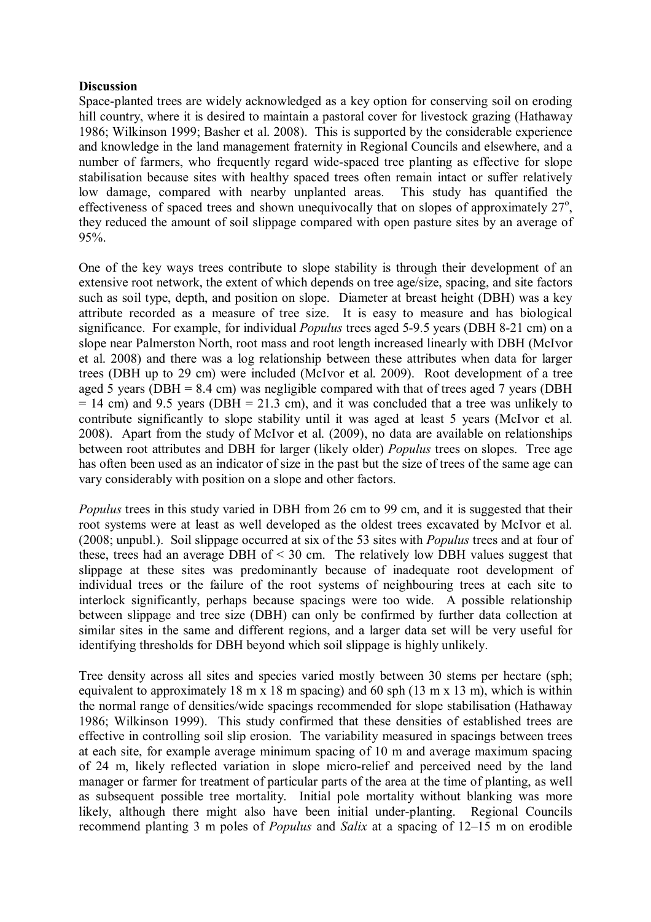### **Discussion**

Space-planted trees are widely acknowledged as a key option for conserving soil on eroding hill country, where it is desired to maintain a pastoral cover for livestock grazing (Hathaway 1986; Wilkinson 1999; Basher et al. 2008). This is supported by the considerable experience and knowledge in the land management fraternity in Regional Councils and elsewhere, and a number of farmers, who frequently regard wide-spaced tree planting as effective for slope stabilisation because sites with healthy spaced trees often remain intact or suffer relatively low damage, compared with nearby unplanted areas. This study has quantified the effectiveness of spaced trees and shown unequivocally that on slopes of approximately  $27^\circ$ , they reduced the amount of soil slippage compared with open pasture sites by an average of 95%.

One of the key ways trees contribute to slope stability is through their development of an extensive root network, the extent of which depends on tree age/size, spacing, and site factors such as soil type, depth, and position on slope. Diameter at breast height (DBH) was a key attribute recorded as a measure of tree size. It is easy to measure and has biological significance. For example, for individual Populus trees aged 5-9.5 years (DBH 8-21 cm) on a slope near Palmerston North, root mass and root length increased linearly with DBH (McIvor et al. 2008) and there was a log relationship between these attributes when data for larger trees (DBH up to 29 cm) were included (McIvor et al. 2009). Root development of a tree aged 5 years (DBH = 8.4 cm) was negligible compared with that of trees aged 7 years (DBH  $= 14$  cm) and 9.5 years (DBH  $= 21.3$  cm), and it was concluded that a tree was unlikely to contribute significantly to slope stability until it was aged at least 5 years (McIvor et al. 2008). Apart from the study of McIvor et al. (2009), no data are available on relationships between root attributes and DBH for larger (likely older) Populus trees on slopes. Tree age has often been used as an indicator of size in the past but the size of trees of the same age can vary considerably with position on a slope and other factors.

Populus trees in this study varied in DBH from 26 cm to 99 cm, and it is suggested that their root systems were at least as well developed as the oldest trees excavated by McIvor et al. (2008; unpubl.). Soil slippage occurred at six of the 53 sites with Populus trees and at four of these, trees had an average DBH of < 30 cm. The relatively low DBH values suggest that slippage at these sites was predominantly because of inadequate root development of individual trees or the failure of the root systems of neighbouring trees at each site to interlock significantly, perhaps because spacings were too wide. A possible relationship between slippage and tree size (DBH) can only be confirmed by further data collection at similar sites in the same and different regions, and a larger data set will be very useful for identifying thresholds for DBH beyond which soil slippage is highly unlikely.

Tree density across all sites and species varied mostly between 30 stems per hectare (sph; equivalent to approximately 18 m x 18 m spacing) and 60 sph (13 m x 13 m), which is within the normal range of densities/wide spacings recommended for slope stabilisation (Hathaway 1986; Wilkinson 1999). This study confirmed that these densities of established trees are effective in controlling soil slip erosion. The variability measured in spacings between trees at each site, for example average minimum spacing of 10 m and average maximum spacing of 24 m, likely reflected variation in slope micro-relief and perceived need by the land manager or farmer for treatment of particular parts of the area at the time of planting, as well as subsequent possible tree mortality. Initial pole mortality without blanking was more likely, although there might also have been initial under-planting. Regional Councils recommend planting 3 m poles of Populus and Salix at a spacing of 12–15 m on erodible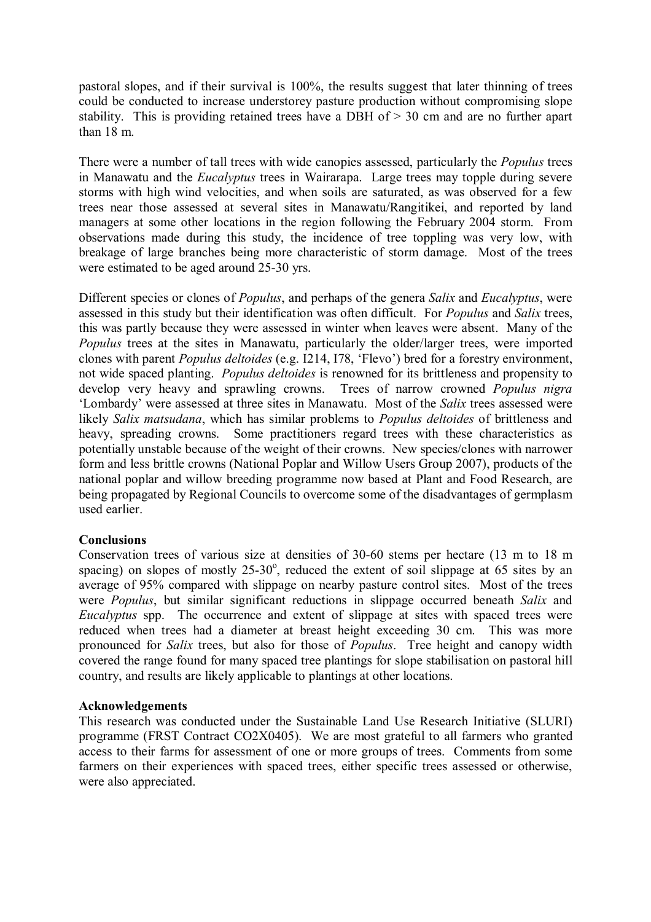pastoral slopes, and if their survival is 100%, the results suggest that later thinning of trees could be conducted to increase understorey pasture production without compromising slope stability. This is providing retained trees have a DBH of > 30 cm and are no further apart than 18 m.

There were a number of tall trees with wide canopies assessed, particularly the *Populus* trees in Manawatu and the Eucalyptus trees in Wairarapa. Large trees may topple during severe storms with high wind velocities, and when soils are saturated, as was observed for a few trees near those assessed at several sites in Manawatu/Rangitikei, and reported by land managers at some other locations in the region following the February 2004 storm. From observations made during this study, the incidence of tree toppling was very low, with breakage of large branches being more characteristic of storm damage. Most of the trees were estimated to be aged around 25-30 yrs.

Different species or clones of *Populus*, and perhaps of the genera *Salix* and *Eucalyptus*, were assessed in this study but their identification was often difficult. For Populus and Salix trees, this was partly because they were assessed in winter when leaves were absent. Many of the Populus trees at the sites in Manawatu, particularly the older/larger trees, were imported clones with parent Populus deltoides (e.g. I214, I78, 'Flevo') bred for a forestry environment, not wide spaced planting. Populus deltoides is renowned for its brittleness and propensity to develop very heavy and sprawling crowns. Trees of narrow crowned *Populus nigra* 'Lombardy' were assessed at three sites in Manawatu. Most of the Salix trees assessed were likely Salix matsudana, which has similar problems to *Populus deltoides* of brittleness and heavy, spreading crowns. Some practitioners regard trees with these characteristics as potentially unstable because of the weight of their crowns. New species/clones with narrower form and less brittle crowns (National Poplar and Willow Users Group 2007), products of the national poplar and willow breeding programme now based at Plant and Food Research, are being propagated by Regional Councils to overcome some of the disadvantages of germplasm used earlier.

# **Conclusions**

Conservation trees of various size at densities of 30-60 stems per hectare (13 m to 18 m spacing) on slopes of mostly  $25-30^{\circ}$ , reduced the extent of soil slippage at 65 sites by an average of 95% compared with slippage on nearby pasture control sites. Most of the trees were *Populus*, but similar significant reductions in slippage occurred beneath Salix and Eucalyptus spp. The occurrence and extent of slippage at sites with spaced trees were reduced when trees had a diameter at breast height exceeding 30 cm. This was more pronounced for Salix trees, but also for those of Populus. Tree height and canopy width covered the range found for many spaced tree plantings for slope stabilisation on pastoral hill country, and results are likely applicable to plantings at other locations.

### Acknowledgements

This research was conducted under the Sustainable Land Use Research Initiative (SLURI) programme (FRST Contract CO2X0405). We are most grateful to all farmers who granted access to their farms for assessment of one or more groups of trees. Comments from some farmers on their experiences with spaced trees, either specific trees assessed or otherwise, were also appreciated.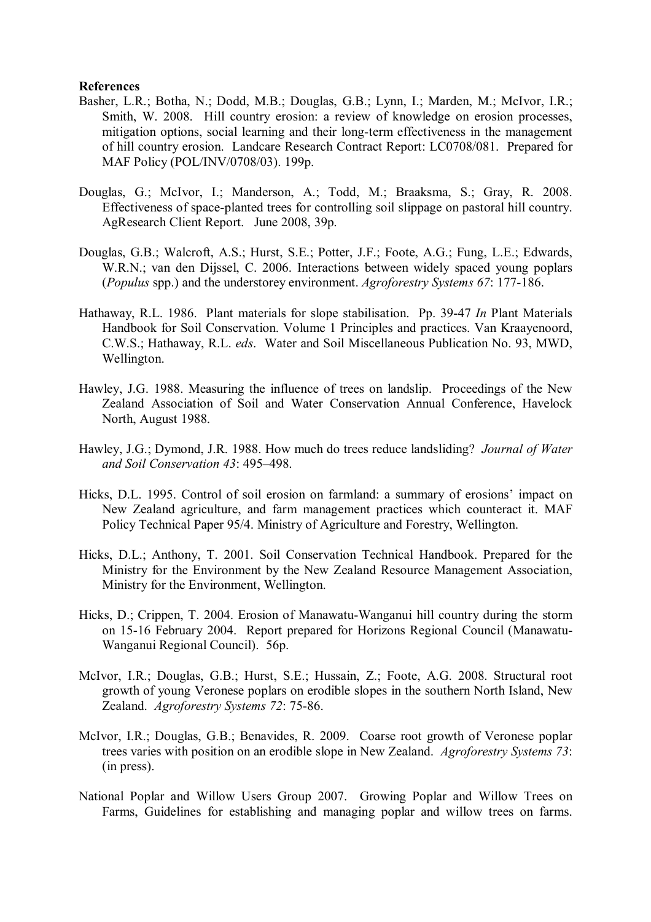#### References

- Basher, L.R.; Botha, N.; Dodd, M.B.; Douglas, G.B.; Lynn, I.; Marden, M.; McIvor, I.R.; Smith, W. 2008. Hill country erosion: a review of knowledge on erosion processes, mitigation options, social learning and their long-term effectiveness in the management of hill country erosion. Landcare Research Contract Report: LC0708/081. Prepared for MAF Policy (POL/INV/0708/03). 199p.
- Douglas, G.; McIvor, I.; Manderson, A.; Todd, M.; Braaksma, S.; Gray, R. 2008. Effectiveness of space-planted trees for controlling soil slippage on pastoral hill country. AgResearch Client Report. June 2008, 39p.
- Douglas, G.B.; Walcroft, A.S.; Hurst, S.E.; Potter, J.F.; Foote, A.G.; Fung, L.E.; Edwards, W.R.N.; van den Dijssel, C. 2006. Interactions between widely spaced young poplars (Populus spp.) and the understorey environment. Agroforestry Systems 67: 177-186.
- Hathaway, R.L. 1986. Plant materials for slope stabilisation. Pp. 39-47 In Plant Materials Handbook for Soil Conservation. Volume 1 Principles and practices. Van Kraayenoord, C.W.S.; Hathaway, R.L. eds. Water and Soil Miscellaneous Publication No. 93, MWD, Wellington.
- Hawley, J.G. 1988. Measuring the influence of trees on landslip. Proceedings of the New Zealand Association of Soil and Water Conservation Annual Conference, Havelock North, August 1988.
- Hawley, J.G.; Dymond, J.R. 1988. How much do trees reduce landsliding? *Journal of Water* and Soil Conservation 43: 495–498.
- Hicks, D.L. 1995. Control of soil erosion on farmland: a summary of erosions' impact on New Zealand agriculture, and farm management practices which counteract it. MAF Policy Technical Paper 95/4. Ministry of Agriculture and Forestry, Wellington.
- Hicks, D.L.; Anthony, T. 2001. Soil Conservation Technical Handbook. Prepared for the Ministry for the Environment by the New Zealand Resource Management Association, Ministry for the Environment, Wellington.
- Hicks, D.; Crippen, T. 2004. Erosion of Manawatu-Wanganui hill country during the storm on 15-16 February 2004. Report prepared for Horizons Regional Council (Manawatu-Wanganui Regional Council). 56p.
- McIvor, I.R.; Douglas, G.B.; Hurst, S.E.; Hussain, Z.; Foote, A.G. 2008. Structural root growth of young Veronese poplars on erodible slopes in the southern North Island, New Zealand. Agroforestry Systems 72: 75-86.
- McIvor, I.R.; Douglas, G.B.; Benavides, R. 2009. Coarse root growth of Veronese poplar trees varies with position on an erodible slope in New Zealand. Agroforestry Systems 73: (in press).
- National Poplar and Willow Users Group 2007. Growing Poplar and Willow Trees on Farms, Guidelines for establishing and managing poplar and willow trees on farms.